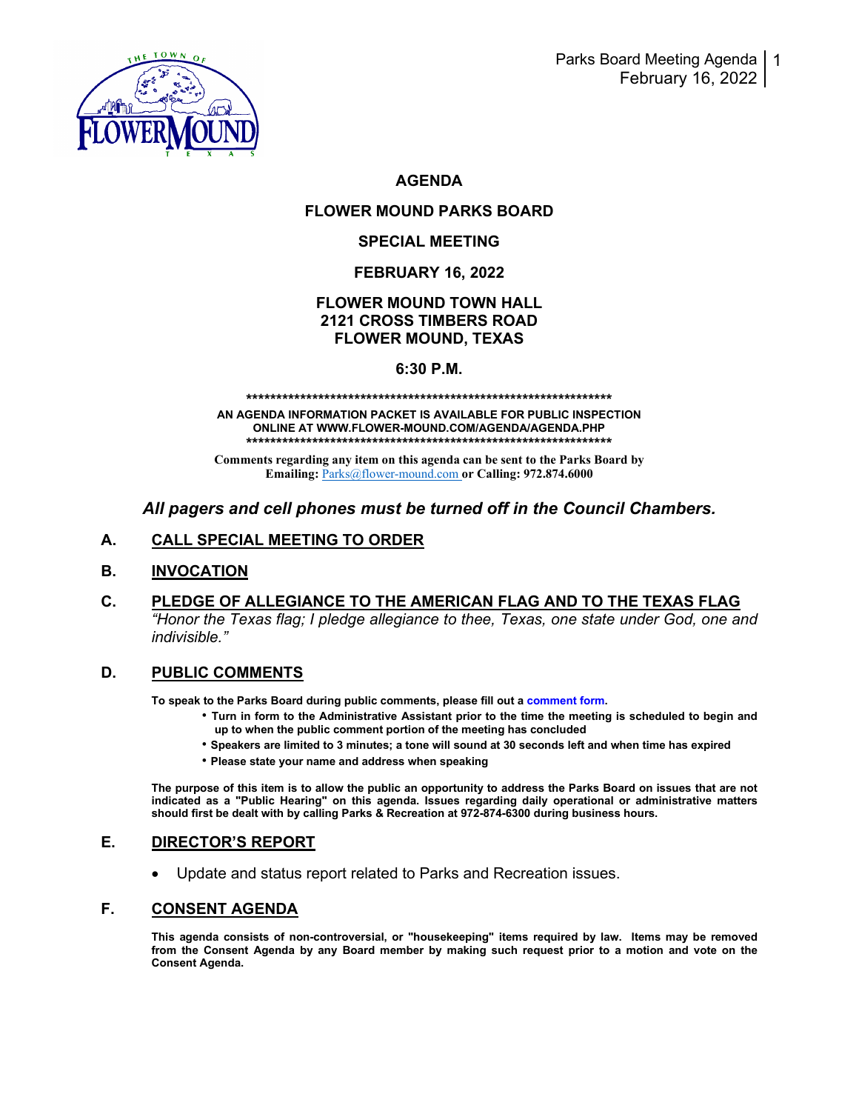

# **AGENDA**

# **FLOWER MOUND PARKS BOARD**

### **SPECIAL MEETING**

### **FEBRUARY 16, 2022**

# **FLOWER MOUND TOWN HALL 2121 CROSS TIMBERS ROAD FLOWER MOUND, TEXAS**

#### **6:30 P.M.**

#### **\*\*\*\*\*\*\*\*\*\*\*\*\*\*\*\*\*\*\*\*\*\*\*\*\*\*\*\*\*\*\*\*\*\*\*\*\*\*\*\*\*\*\*\*\*\*\*\*\*\*\*\*\*\*\*\*\*\*\*\*\***

**AN AGENDA INFORMATION PACKET IS AVAILABLE FOR PUBLIC INSPECTION ONLINE AT WWW.FLOWER-MOUND.COM/AGENDA/AGENDA.PHP \*\*\*\*\*\*\*\*\*\*\*\*\*\*\*\*\*\*\*\*\*\*\*\*\*\*\*\*\*\*\*\*\*\*\*\*\*\*\*\*\*\*\*\*\*\*\*\*\*\*\*\*\*\*\*\*\*\*\*\*\***

**Comments regarding any item on this agenda can be sent to the Parks Board by Emailing:** [Parks@flower-mound.com](mailto:Parks@flower-mound.com) **or Calling: 972.874.6000**

# *All pagers and cell phones must be turned off in the Council Chambers.*

## **A. CALL SPECIAL MEETING TO ORDER**

#### **B. INVOCATION**

**C. PLEDGE OF ALLEGIANCE TO THE AMERICAN FLAG AND TO THE TEXAS FLAG** *"Honor the Texas flag; I pledge allegiance to thee, Texas, one state under God, one and indivisible."* 

#### **D. PUBLIC COMMENTS**

**To speak to the Parks Board during public comments, please fill out a comment form.** 

- **Turn in form to the Administrative Assistant prior to the time the meeting is scheduled to begin and up to when the public comment portion of the meeting has concluded**
- **Speakers are limited to 3 minutes; a tone will sound at 30 seconds left and when time has expired**
- **Please state your name and address when speaking**

**The purpose of this item is to allow the public an opportunity to address the Parks Board on issues that are not indicated as a "Public Hearing" on this agenda. Issues regarding daily operational or administrative matters should first be dealt with by calling Parks & Recreation at 972-874-6300 during business hours.**

#### **E. DIRECTOR'S REPORT**

• Update and status report related to Parks and Recreation issues.

#### **F. CONSENT AGENDA**

**This agenda consists of non-controversial, or "housekeeping" items required by law. Items may be removed from the Consent Agenda by any Board member by making such request prior to a motion and vote on the Consent Agenda.**